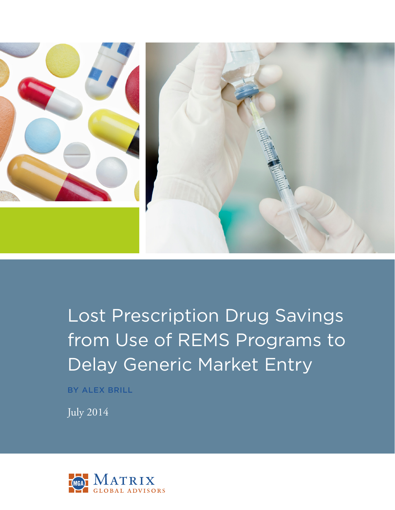

Lost Prescription Drug Savings from Use of REMS Programs to Delay Generic Market Entry

BY ALEX BRILL

July 2014

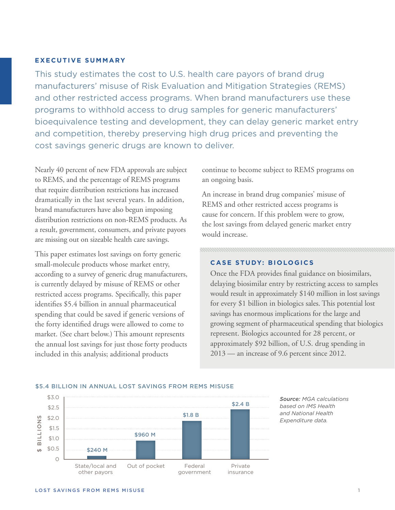### **EXECUTIVE SUMMARY**

This study estimates the cost to U.S. health care payors of brand drug manufacturers' misuse of Risk Evaluation and Mitigation Strategies (REMS) and other restricted access programs. When brand manufacturers use these programs to withhold access to drug samples for generic manufacturers' bioequivalence testing and development, they can delay generic market entry and competition, thereby preserving high drug prices and preventing the cost savings generic drugs are known to deliver.

Nearly 40 percent of new FDA approvals are subject to REMS, and the percentage of REMS programs that require distribution restrictions has increased dramatically in the last several years. In addition, brand manufacturers have also begun imposing distribution restrictions on non-REMS products. As a result, government, consumers, and private payors are missing out on sizeable health care savings.

This paper estimates lost savings on forty generic small-molecule products whose market entry, according to a survey of generic drug manufacturers, is currently delayed by misuse of REMS or other restricted access programs. Specifically, this paper identifies \$5.4 billion in annual pharmaceutical spending that could be saved if generic versions of the forty identified drugs were allowed to come to market. (See chart below.) This amount represents the annual lost savings for just those forty products included in this analysis; additional products

continue to become subject to REMS programs on an ongoing basis.

An increase in brand drug companies' misuse of REMS and other restricted access programs is cause for concern. If this problem were to grow, the lost savings from delayed generic market entry would increase.

### **CASE STUDY: BIOLOGICS**

Once the FDA provides final guidance on biosimilars, delaying biosimilar entry by restricting access to samples would result in approximately \$140 million in lost savings for every \$1 billion in biologics sales. This potential lost savings has enormous implications for the large and growing segment of pharmaceutical spending that biologics represent. Biologics accounted for 28 percent, or approximately \$92 billion, of U.S. drug spending in 2013 — an increase of 9.6 percent since 2012.



#### \$5.4 BILLION IN ANNUAL LOST SAVINGS FROM REMS MISUSE

*Source: MGA calculations based on IMS Health and National Health Expenditure data.*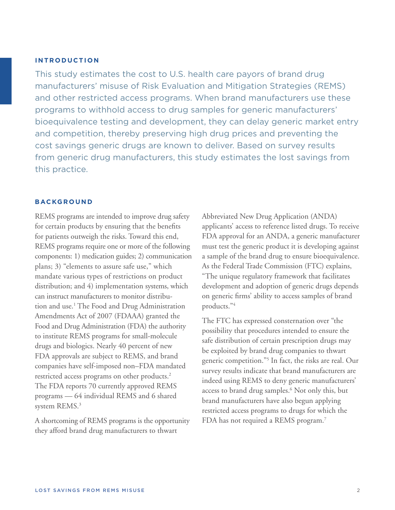### **INTRODUCTION**

This study estimates the cost to U.S. health care payors of brand drug manufacturers' misuse of Risk Evaluation and Mitigation Strategies (REMS) and other restricted access programs. When brand manufacturers use these programs to withhold access to drug samples for generic manufacturers' bioequivalence testing and development, they can delay generic market entry and competition, thereby preserving high drug prices and preventing the cost savings generic drugs are known to deliver. Based on survey results from generic drug manufacturers, this study estimates the lost savings from this practice.

## **BACKGROUND**

REMS programs are intended to improve drug safety for certain products by ensuring that the benefits for patients outweigh the risks. Toward this end, REMS programs require one or more of the following components: 1) medication guides; 2) communication plans; 3) "elements to assure safe use," which mandate various types of restrictions on product distribution; and 4) implementation systems, which can instruct manufacturers to monitor distribution and use.<sup>1</sup> The Food and Drug Administration Amendments Act of 2007 (FDAAA) granted the Food and Drug Administration (FDA) the authority to institute REMS programs for small-molecule drugs and biologics. Nearly 40 percent of new FDA approvals are subject to REMS, and brand companies have self-imposed non–FDA mandated restricted access programs on other products.<sup>2</sup> The FDA reports 70 currently approved REMS programs — 64 individual REMS and 6 shared system REMS.<sup>3</sup>

A shortcoming of REMS programs is the opportunity they afford brand drug manufacturers to thwart

Abbreviated New Drug Application (ANDA) applicants' access to reference listed drugs. To receive FDA approval for an ANDA, a generic manufacturer must test the generic product it is developing against a sample of the brand drug to ensure bioequivalence. As the Federal Trade Commission (FTC) explains, "The unique regulatory framework that facilitates development and adoption of generic drugs depends on generic firms' ability to access samples of brand products."4

The FTC has expressed consternation over "the possibility that procedures intended to ensure the safe distribution of certain prescription drugs may be exploited by brand drug companies to thwart generic competition."5 In fact, the risks are real. Our survey results indicate that brand manufacturers are indeed using REMS to deny generic manufacturers' access to brand drug samples.<sup>6</sup> Not only this, but brand manufacturers have also begun applying restricted access programs to drugs for which the FDA has not required a REMS program.<sup>7</sup>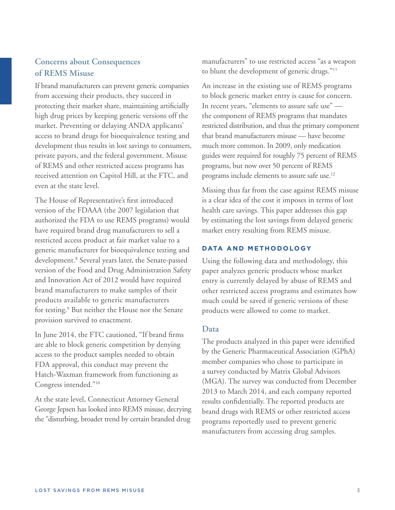# **Concerns about Consequences of REMS Misuse**

If brand manufacturers can prevent generic companies from accessing their products, they succeed in protecting their market share, maintaining artificially high drug prices by keeping generic versions off the market. Preventing or delaying ANDA applicants' access to brand drugs for bioequivalence testing and development thus results in lost savings to consumers, private payors, and the federal government. Misuse of REMS and other restricted access programs has received attention on Capitol Hill, at the FTC, and even at the state level.

The House of Representative's first introduced version of the FDAAA (the 2007 legislation that authorized the FDA to use REMS programs) would have required brand drug manufacturers to sell a restricted access product at fair market value to a generic manufacturer for bioequivalence testing and development.<sup>8</sup> Several years later, the Senate-passed version of the Food and Drug Administration Safety and Innovation Act of 2012 would have required brand manufacturers to make samples of their products available to generic manufacturers for testing.<sup>9</sup> But neither the House nor the Senate provision survived to enactment.

In June 2014, the FTC cautioned, "If brand firms are able to block generic competition by denying access to the product samples needed to obtain FDA approval, this conduct may prevent the Hatch-Waxman framework from functioning as Congress intended."10

At the state level, Connecticut Attorney General George Jepsen has looked into REMS misuse, decrying the "disturbing, broader trend by certain branded drug

manufacturers" to use restricted access "as a weapon to blunt the development of generic drugs."11

An increase in the existing use of REMS programs to block generic market entry is cause for concern. In recent years, "elements to assure safe use" the component of REMS programs that mandates restricted distribution, and thus the primary component that brand manufacturers misuse — have become much more common. In 2009, only medication guides were required for roughly 75 percent of REMS programs, but now over 50 percent of REMS programs include elements to assure safe use.12

Missing thus far from the case against REMS misuse is a clear idea of the cost it imposes in terms of lost health care savings. This paper addresses this gap by estimating the lost savings from delayed generic market entry resulting from REMS misuse.

## **DATA AND METHODOLOGY**

Using the following data and methodology, this paper analyzes generic products whose market entry is currently delayed by abuse of REMS and other restricted access programs and estimates how much could be saved if generic versions of these products were allowed to come to market.

## **Data**

The products analyzed in this paper were identified by the Generic Pharmaceutical Association (GPhA) member companies who chose to participate in a survey conducted by Matrix Global Advisors (MGA). The survey was conducted from December 2013 to March 2014, and each company reported results confidentially. The reported products are brand drugs with REMS or other restricted access programs reportedly used to prevent generic manufacturers from accessing drug samples.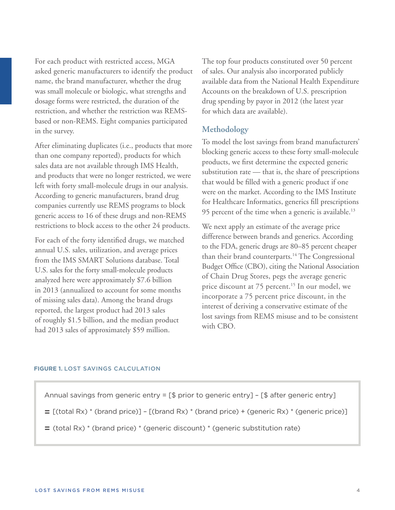For each product with restricted access, MGA asked generic manufacturers to identify the product name, the brand manufacturer, whether the drug was small molecule or biologic, what strengths and dosage forms were restricted, the duration of the restriction, and whether the restriction was REMSbased or non-REMS. Eight companies participated in the survey.

After eliminating duplicates (i.e., products that more than one company reported), products for which sales data are not available through IMS Health, and products that were no longer restricted, we were left with forty small-molecule drugs in our analysis. According to generic manufacturers, brand drug companies currently use REMS programs to block generic access to 16 of these drugs and non-REMS restrictions to block access to the other 24 products.

For each of the forty identified drugs, we matched annual U.S. sales, utilization, and average prices from the IMS SMART Solutions database. Total U.S. sales for the forty small-molecule products analyzed here were approximately \$7.6 billion in 2013 (annualized to account for some months of missing sales data). Among the brand drugs reported, the largest product had 2013 sales of roughly \$1.5 billion, and the median product had 2013 sales of approximately \$59 million.

The top four products constituted over 50 percent of sales. Our analysis also incorporated publicly available data from the National Health Expenditure Accounts on the breakdown of U.S. prescription drug spending by payor in 2012 (the latest year for which data are available).

## **Methodology**

To model the lost savings from brand manufacturers' blocking generic access to these forty small-molecule products, we first determine the expected generic substitution rate — that is, the share of prescriptions that would be filled with a generic product if one were on the market. According to the IMS Institute for Healthcare Informatics, generics fill prescriptions 95 percent of the time when a generic is available.<sup>13</sup>

We next apply an estimate of the average price difference between brands and generics. According to the FDA, generic drugs are 80–85 percent cheaper than their brand counterparts.<sup>14</sup> The Congressional Budget Office (CBO), citing the National Association of Chain Drug Stores, pegs the average generic price discount at 75 percent.<sup>15</sup> In our model, we incorporate a 75 percent price discount, in the interest of deriving a conservative estimate of the lost savings from REMS misuse and to be consistent with CBO.

### **FIGURE 1.** LOST SAVINGS CALCULATION

Annual savings from generic entry = [\$ prior to generic entry] – [\$ after generic entry]

- $=$   $\lceil$ (total Rx)  $*$  (brand price)]  $\lceil$ (brand Rx)  $*$  (brand price) + (generic Rx)  $*$  (generic price)]
- = (total Rx) \* (brand price) \* (generic discount) \* (generic substitution rate)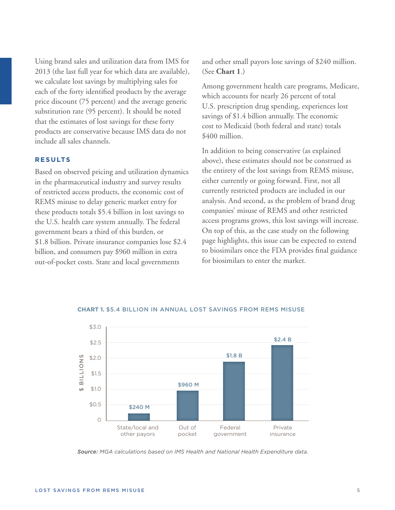Using brand sales and utilization data from IMS for 2013 (the last full year for which data are available), we calculate lost savings by multiplying sales for each of the forty identified products by the average price discount (75 percent) and the average generic substitution rate (95 percent). It should be noted that the estimates of lost savings for these forty products are conservative because IMS data do not include all sales channels.

### **RESULTS**

Based on observed pricing and utilization dynamics in the pharmaceutical industry and survey results of restricted access products, the economic cost of REMS misuse to delay generic market entry for these products totals \$5.4 billion in lost savings to the U.S. health care system annually. The federal government bears a third of this burden, or \$1.8 billion. Private insurance companies lose \$2.4 billion, and consumers pay \$960 million in extra out-of-pocket costs. State and local governments

and other small payors lose savings of \$240 million. (See **Chart 1**.)

Among government health care programs, Medicare, which accounts for nearly 26 percent of total U.S. prescription drug spending, experiences lost savings of \$1.4 billion annually. The economic cost to Medicaid (both federal and state) totals \$400 million.

In addition to being conservative (as explained above), these estimates should not be construed as the entirety of the lost savings from REMS misuse, either currently or going forward. First, not all currently restricted products are included in our analysis. And second, as the problem of brand drug companies' misuse of REMS and other restricted access programs grows, this lost savings will increase. On top of this, as the case study on the following page highlights, this issue can be expected to extend to biosimilars once the FDA provides final guidance for biosimilars to enter the market.



### **CHART 1.** \$5.4 BILLION IN ANNUAL LOST SAVINGS FROM REMS MISUSE

*Source: MGA calculations based on IMS Health and National Health Expenditure data.*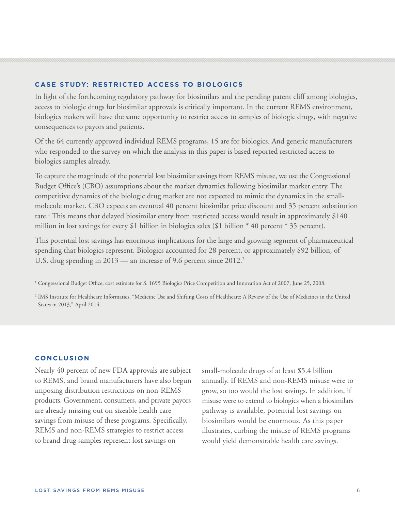## **CASE STUDY: RESTRICTED ACCESS TO BIOLOGICS**

In light of the forthcoming regulatory pathway for biosimilars and the pending patent cliff among biologics, access to biologic drugs for biosimilar approvals is critically important. In the current REMS environment, biologics makers will have the same opportunity to restrict access to samples of biologic drugs, with negative consequences to payors and patients.

Of the 64 currently approved individual REMS programs, 15 are for biologics. And generic manufacturers who responded to the survey on which the analysis in this paper is based reported restricted access to biologics samples already.

To capture the magnitude of the potential lost biosimilar savings from REMS misuse, we use the Congressional Budget Office's (CBO) assumptions about the market dynamics following biosimilar market entry. The competitive dynamics of the biologic drug market are not expected to mimic the dynamics in the smallmolecule market. CBO expects an eventual 40 percent biosimilar price discount and 35 percent substitution rate.1 This means that delayed biosimilar entry from restricted access would result in approximately \$140 million in lost savings for every \$1 billion in biologics sales (\$1 billion \* 40 percent \* 35 percent).

This potential lost savings has enormous implications for the large and growing segment of pharmaceutical spending that biologics represent. Biologics accounted for 28 percent, or approximately \$92 billion, of U.S. drug spending in 2013 — an increase of 9.6 percent since 2012.<sup>2</sup>

1 Congressional Budget Office, cost estimate for S. 1695 Biologics Price Competition and Innovation Act of 2007, June 25, 2008.

<sup>2</sup> IMS Institute for Healthcare Informatics, "Medicine Use and Shifting Costs of Healthcare: A Review of the Use of Medicines in the United States in 2013," April 2014.

### **CONCLUSION**

Nearly 40 percent of new FDA approvals are subject to REMS, and brand manufacturers have also begun imposing distribution restrictions on non-REMS products. Government, consumers, and private payors are already missing out on sizeable health care savings from misuse of these programs. Specifically, REMS and non-REMS strategies to restrict access to brand drug samples represent lost savings on

small-molecule drugs of at least \$5.4 billion annually. If REMS and non-REMS misuse were to grow, so too would the lost savings. In addition, if misuse were to extend to biologics when a biosimilars pathway is available, potential lost savings on biosimilars would be enormous. As this paper illustrates, curbing the misuse of REMS programs would yield demonstrable health care savings.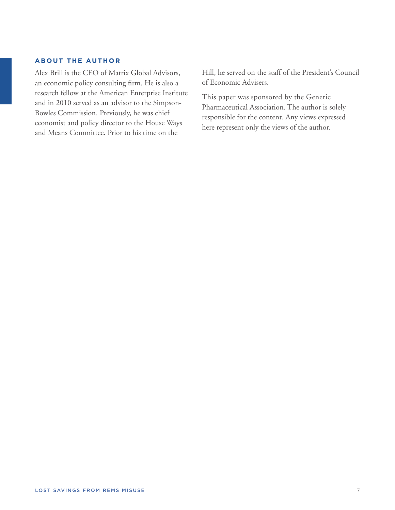## **ABOUT THE AUTHOR**

Alex Brill is the CEO of Matrix Global Advisors, an economic policy consulting firm. He is also a research fellow at the American Enterprise Institute and in 2010 served as an advisor to the Simpson-Bowles Commission. Previously, he was chief economist and policy director to the House Ways and Means Committee. Prior to his time on the

Hill, he served on the staff of the President's Council of Economic Advisers.

This paper was sponsored by the Generic Pharmaceutical Association. The author is solely responsible for the content. Any views expressed here represent only the views of the author.